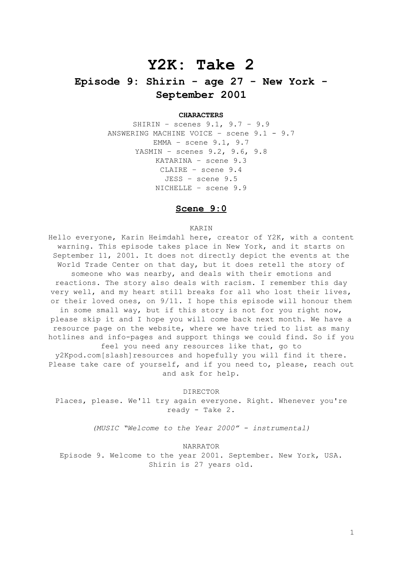# **Y2K: Take 2**

# **Episode 9: Shirin - age 27 - New York - September 2001**

# **CHARACTERS**

SHIRIN – scenes 9.1, 9.7 – 9.9 ANSWERING MACHINE VOICE – scene 9.1 - 9.7 EMMA – scene 9.1, 9.7 YASMIN – scenes 9.2, 9.6, 9.8 KATARINA – scene 9.3 CLAIRE – scene 9.4 JESS – scene 9.5 NICHELLE – scene 9.9

# **Scene 9:0**

## KARIN

Hello everyone, Karin Heimdahl here, creator of Y2K, with a content warning. This episode takes place in New York, and it starts on September 11, 2001. It does not directly depict the events at the World Trade Center on that day, but it does retell the story of someone who was nearby, and deals with their emotions and reactions. The story also deals with racism. I remember this day very well, and my heart still breaks for all who lost their lives, or their loved ones, on 9/11. I hope this episode will honour them in some small way, but if this story is not for you right now, please skip it and I hope you will come back next month. We have a resource page on the website, where we have tried to list as many hotlines and info-pages and support things we could find. So if you feel you need any resources like that, go to

y2Kpod.com[slash]resources and hopefully you will find it there. Please take care of yourself, and if you need to, please, reach out and ask for help.

DIRECTOR

Places, please. We'll try again everyone. Right. Whenever you're ready - Take 2.

*(MUSIC "Welcome to the Year 2000" - instrumental)*

NARRATOR

Episode 9. Welcome to the year 2001. September. New York, USA. Shirin is 27 years old.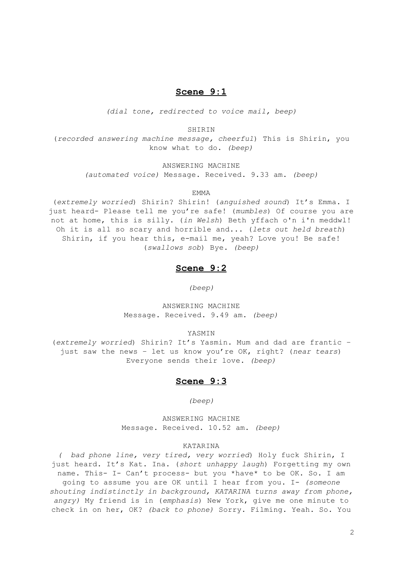# **Scene 9:1**

*(dial tone, redirected to voice mail, beep)*

SHIRIN

(*recorded answering machine message, cheerful*) This is Shirin, you know what to do. *(beep)*

ANSWERING MACHINE

*(automated voice)* Message. Received. 9.33 am. *(beep)*

**EMMA** 

(*extremely worried*) Shirin? Shirin! (*anguished sound*) It's Emma. I just heard- Please tell me you're safe! (*mumbles*) Of course you are not at home, this is silly. (*in Welsh*) Beth yffach o'n i'n meddwl! Oh it is all so scary and horrible and... (*lets out held breath*) Shirin, if you hear this, e-mail me, yeah? Love you! Be safe! (*swallows sob*) Bye. *(beep)*

# **Scene 9:2**

*(beep)*

ANSWERING MACHINE Message. Received. 9.49 am. *(beep)*

YASMIN

(*extremely worried*) Shirin? It's Yasmin. Mum and dad are frantic – just saw the news – let us know you're OK, right? (*near tears*) Everyone sends their love. *(beep)*

# **Scene 9:3**

*(beep)*

ANSWERING MACHINE Message. Received. 10.52 am. *(beep)*

## KATARINA

*( bad phone line, very tired, very worried*) Holy fuck Shirin, I just heard. It's Kat. Ina. (*short unhappy laugh*) Forgetting my own name. This- I- Can't process- but you \*have\* to be OK. So. I am going to assume you are OK until I hear from you. I- *(someone shouting indistinctly in background, KATARINA turns away from phone, angry)* My friend is in (*emphasis*) New York, give me one minute to check in on her, OK? *(back to phone)* Sorry. Filming. Yeah. So. You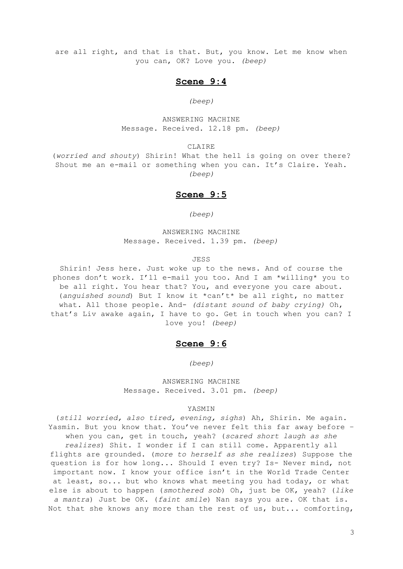are all right, and that is that. But, you know. Let me know when you can, OK? Love you. *(beep)*

# **Scene 9:4**

# *(beep)*

ANSWERING MACHINE Message. Received. 12.18 pm. *(beep)*

CLAIRE

(*worried and shouty*) Shirin! What the hell is going on over there? Shout me an e-mail or something when you can. It's Claire. Yeah. *(beep)*

# **Scene 9:5**

*(beep)*

ANSWERING MACHINE Message. Received. 1.39 pm. *(beep)*

#### JESS

Shirin! Jess here. Just woke up to the news. And of course the phones don't work. I'll e-mail you too. And I am \*willing\* you to be all right. You hear that? You, and everyone you care about. (*anguished sound*) But I know it \*can't\* be all right, no matter what. All those people. And- *(distant sound of baby crying)* Oh, that's Liv awake again, I have to go. Get in touch when you can? I love you! *(beep)*

# **Scene 9:6**

*(beep)*

ANSWERING MACHINE Message. Received. 3.01 pm. *(beep)*

#### YASMIN

(*still worried, also tired, evening, sighs*) Ah, Shirin. Me again. Yasmin. But you know that. You've never felt this far away before – when you can, get in touch, yeah? (*scared short laugh as she realizes*) Shit. I wonder if I can still come. Apparently all flights are grounded. (*more to herself as she realizes*) Suppose the question is for how long... Should I even try? Is- Never mind, not important now. I know your office isn't in the World Trade Center at least, so... but who knows what meeting you had today, or what else is about to happen (*smothered sob*) Oh, just be OK, yeah? (*like a mantra*) Just be OK. (*faint smile*) Nan says you are. OK that is. Not that she knows any more than the rest of us, but... comforting,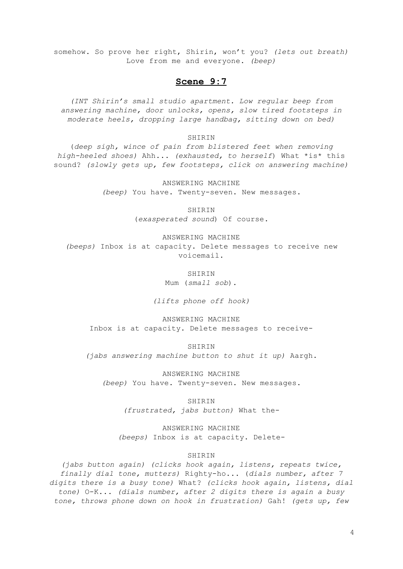somehow. So prove her right, Shirin, won't you? *(lets out breath)* Love from me and everyone. *(beep)*

# **Scene 9:7**

*(INT Shirin's small studio apartment. Low regular beep from answering machine, door unlocks, opens, slow tired footsteps in moderate heels, dropping large handbag, sitting down on bed)*

# SHIRIN

(*deep sigh, wince of pain from blistered feet when removing high-heeled shoes)* Ahh... *(exhausted, to herself*) What \*is\* this sound? *(slowly gets up, few footsteps, click on answering machine)*

> ANSWERING MACHINE *(beep)* You have. Twenty-seven. New messages.

> > SHIRIN

(*exasperated sound*) Of course.

ANSWERING MACHINE *(beeps)* Inbox is at capacity. Delete messages to receive new voicemail.

> **SHIRIN** Mum (*small sob*).

*(lifts phone off hook)*

ANSWERING MACHINE Inbox is at capacity. Delete messages to receive-

SHIRIN *(jabs answering machine button to shut it up)* Aargh.

ANSWERING MACHINE *(beep)* You have. Twenty-seven. New messages.

> SHIRIN *(frustrated, jabs button)* What the-

ANSWERING MACHINE *(beeps)* Inbox is at capacity. Delete-

# SHIRIN

*(jabs button again) (clicks hook again, listens, repeats twice, finally dial tone, mutters)* Righty-ho... (*dials number, after 7 digits there is a busy tone)* What? *(clicks hook again, listens, dial tone)* O-K... *(dials number, after 2 digits there is again a busy tone, throws phone down on hook in frustration)* Gah! *(gets up, few*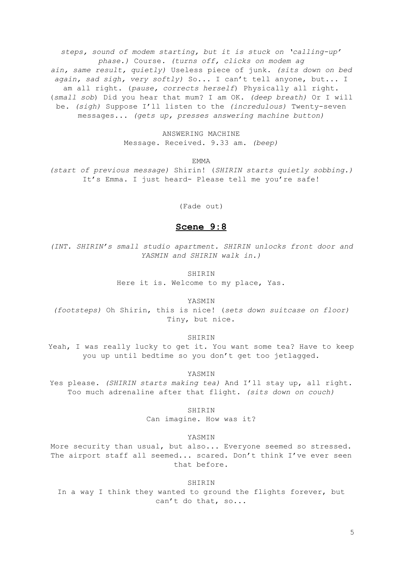*steps, sound of modem starting, but it is stuck on 'calling-up' phase.)* Course*. (turns off, clicks on modem ag ain, same result, quietly)* Useless piece of junk. *(sits down on bed again, sad sigh, very softly)* So... I can't tell anyone, but... I am all right. (*pause, corrects herself*) Physically all right. (*small sob*) Did you hear that mum? I am OK. *(deep breath)* Or I will be. *(sigh)* Suppose I'll listen to the *(incredulous)* Twenty-seven messages... *(gets up, presses answering machine button)*

> ANSWERING MACHINE Message. Received. 9.33 am. *(beep)*

> > EMMA

*(start of previous message)* Shirin! (*SHIRIN starts quietly sobbing.)* It's Emma. I just heard- Please tell me you're safe!

(Fade out)

# **Scene 9:8**

*(INT. SHIRIN's small studio apartment. SHIRIN unlocks front door and YASMIN and SHIRIN walk in.)*

SHIRIN

Here it is. Welcome to my place, Yas.

YASMIN

*(footsteps)* Oh Shirin, this is nice! (*sets down suitcase on floor)* Tiny, but nice.

SHIRIN

Yeah, I was really lucky to get it. You want some tea? Have to keep you up until bedtime so you don't get too jetlagged.

YASMIN

Yes please. *(SHIRIN starts making tea)* And I'll stay up, all right. Too much adrenaline after that flight. *(sits down on couch)*

SHIRIN

Can imagine. How was it?

YASMIN

More security than usual, but also... Everyone seemed so stressed. The airport staff all seemed... scared. Don't think I've ever seen that before.

SHIRIN

In a way I think they wanted to ground the flights forever, but can't do that, so...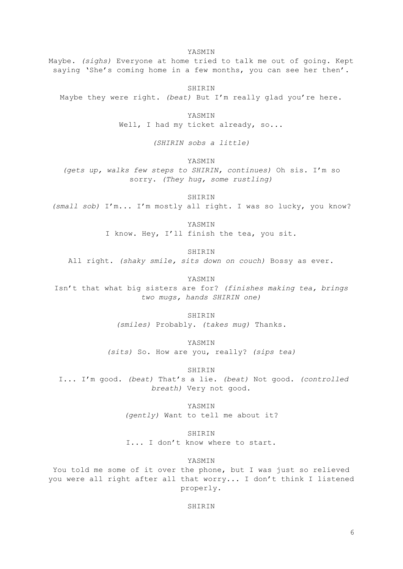Maybe. *(sighs)* Everyone at home tried to talk me out of going. Kept saying 'She's coming home in a few months, you can see her then'.

YASMIN

SHIRIN Maybe they were right. *(beat)* But I'm really glad you're here.

> YASMIN Well, I had my ticket already, so...

> > *(SHIRIN sobs a little)*

YASMIN

*(gets up, walks few steps to SHIRIN, continues)* Oh sis. I'm so sorry. *(They hug, some rustling)*

SHIRIN

*(small sob)* I'm... I'm mostly all right. I was so lucky, you know?

YASMIN I know. Hey, I'll finish the tea, you sit.

SHIRIN All right. *(shaky smile, sits down on couch)* Bossy as ever.

YASMIN Isn't that what big sisters are for? *(finishes making tea, brings two mugs, hands SHIRIN one)*

> SHIRIN *(smiles)* Probably. *(takes mug)* Thanks.

YASMIN *(sits)* So. How are you, really? *(sips tea)*

SHIRIN I... I'm good. *(beat)* That's a lie. *(beat)* Not good. *(controlled breath)* Very not good.

> YASMIN *(gently)* Want to tell me about it?

SHIRIN I... I don't know where to start.

YASMIN

You told me some of it over the phone, but I was just so relieved you were all right after all that worry... I don't think I listened properly.

SHIRIN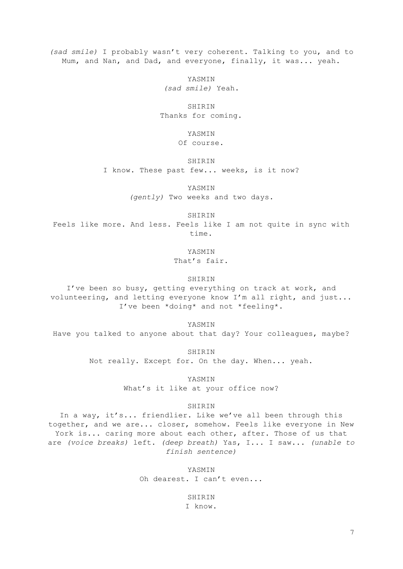*(sad smile)* I probably wasn't very coherent. Talking to you, and to Mum, and Nan, and Dad, and everyone, finally, it was... yeah.

YASMIN

*(sad smile)* Yeah.

SHIRIN Thanks for coming.

YASMIN

Of course.

SHIRIN

I know. These past few... weeks, is it now?

YASMIN

*(gently)* Two weeks and two days.

SHIRIN

Feels like more. And less. Feels like I am not quite in sync with time.

YASMIN

That's fair.

SHIRIN

I've been so busy, getting everything on track at work, and volunteering, and letting everyone know I'm all right, and just... I've been \*doing\* and not \*feeling\*.

YASMIN

Have you talked to anyone about that day? Your colleagues, maybe?

SHIRIN

Not really. Except for. On the day. When... yeah.

YASMIN What's it like at your office now?

## SHIRIN

In a way, it's... friendlier. Like we've all been through this together, and we are... closer, somehow. Feels like everyone in New York is... caring more about each other, after. Those of us that are *(voice breaks)* left. *(deep breath)* Yas, I... I saw... *(unable to finish sentence)*

> YASMIN Oh dearest. I can't even...

> > SHIRIN I know.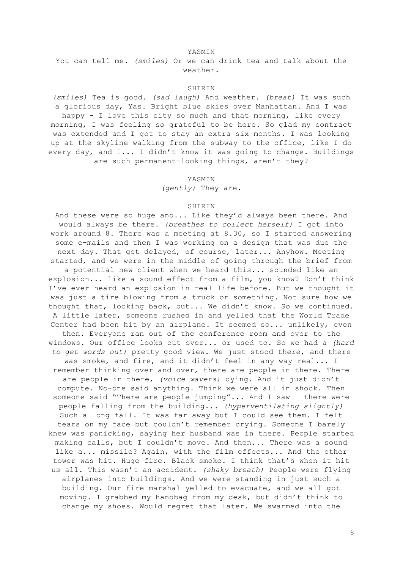YASMIN

You can tell me. *(smiles)* Or we can drink tea and talk about the weather.

## SHIRIN

*(smiles)* Tea is good. *(sad laugh)* And weather. *(breat)* It was such a glorious day, Yas. Bright blue skies over Manhattan. And I was happy - I love this city so much and that morning, like every morning, I was feeling so grateful to be here. So glad my contract was extended and I got to stay an extra six months. I was looking up at the skyline walking from the subway to the office, like I do every day, and I... I didn't know it was going to change. Buildings are such permanent-looking things, aren't they?

## YASMIN

*(gently)* They are.

# SHIRIN

And these were so huge and... Like they'd always been there. And would always be there. *(breathes to collect herself)* I got into work around 8. There was a meeting at 8.30, so I started answering some e-mails and then I was working on a design that was due the next day. That got delayed, of course, later... Anyhow. Meeting started, and we were in the middle of going through the brief from a potential new client when we heard this... sounded like an explosion... like a sound effect from a film, you know? Don't think I've ever heard an explosion in real life before. But we thought it was just a tire blowing from a truck or something. Not sure how we thought that, looking back, but... We didn't know. So we continued. A little later, someone rushed in and yelled that the World Trade Center had been hit by an airplane. It seemed so... unlikely, even then. Everyone ran out of the conference room and over to the windows. Our office looks out over... or used to. So we had a *(hard to get words out)* pretty good view. We just stood there, and there was smoke, and fire, and it didn't feel in any way real... I remember thinking over and over, there are people in there. There are people in there, *(voice wavers)* dying. And it just didn't compute. No-one said anything. Think we were all in shock. Then someone said "There are people jumping"... And I saw – there were people falling from the building... *(hyperventilating slightly)* Such a long fall. It was far away but I could see them. I felt tears on my face but couldn't remember crying. Someone I barely knew was panicking, saying her husband was in there. People started making calls, but I couldn't move. And then... There was a sound like a... missile? Again, with the film effects... And the other tower was hit. Huge fire. Black smoke. I think that's when it hit us all. This wasn't an accident. *(shaky breath)* People were flying airplanes into buildings. And we were standing in just such a building. Our fire marshal yelled to evacuate, and we all got moving. I grabbed my handbag from my desk, but didn't think to change my shoes. Would regret that later. We swarmed into the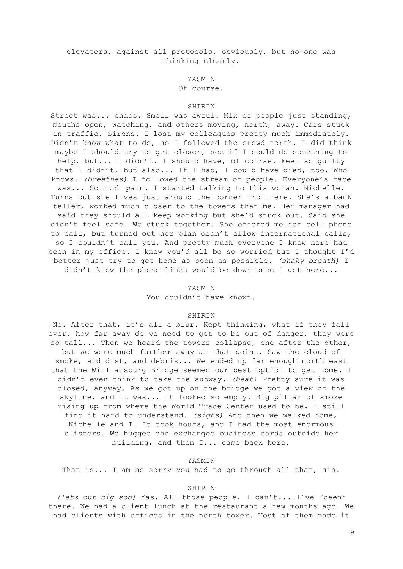# elevators, against all protocols, obviously, but no-one was thinking clearly.

## YASMIN

#### Of course.

#### SHIRIN

Street was... chaos. Smell was awful. Mix of people just standing, mouths open, watching, and others moving, north, away. Cars stuck in traffic. Sirens. I lost my colleagues pretty much immediately. Didn't know what to do, so I followed the crowd north. I did think maybe I should try to get closer, see if I could do something to help, but... I didn't. I should have, of course. Feel so quilty that I didn't, but also... If I had, I could have died, too. Who knows. *(breathes)* I followed the stream of people. Everyone's face was... So much pain. I started talking to this woman. Nichelle. Turns out she lives just around the corner from here. She's a bank teller, worked much closer to the towers than me. Her manager had said they should all keep working but she'd snuck out. Said she didn't feel safe. We stuck together. She offered me her cell phone to call, but turned out her plan didn't allow international calls, so I couldn't call you. And pretty much everyone I knew here had been in my office. I knew you'd all be so worried but I thought I'd better just try to get home as soon as possible. *(shaky breath)* I didn't know the phone lines would be down once I got here...

#### YASMIN

You couldn't have known.

#### SHIRIN

No. After that, it's all a blur. Kept thinking, what if they fall over, how far away do we need to get to be out of danger, they were so tall... Then we heard the towers collapse, one after the other, but we were much further away at that point. Saw the cloud of smoke, and dust, and debris... We ended up far enough north east that the Williamsburg Bridge seemed our best option to get home. I didn't even think to take the subway. *(beat)* Pretty sure it was closed, anyway. As we got up on the bridge we got a view of the skyline, and it was... It looked so empty. Big pillar of smoke rising up from where the World Trade Center used to be. I still find it hard to understand. *(sighs)* And then we walked home, Nichelle and I. It took hours, and I had the most enormous blisters. We hugged and exchanged business cards outside her building, and then I... came back here.

#### YASMIN

That is... I am so sorry you had to go through all that, sis.

#### SHIRIN

*(lets out big sob)* Yas. All those people. I can't... I've \*been\* there. We had a client lunch at the restaurant a few months ago. We had clients with offices in the north tower. Most of them made it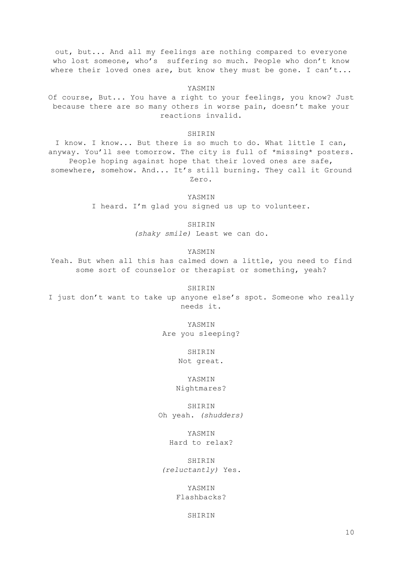out, but... And all my feelings are nothing compared to everyone who lost someone, who's suffering so much. People who don't know where their loved ones are, but know they must be gone. I can't...

YASMIN Of course, But... You have a right to your feelings, you know? Just because there are so many others in worse pain, doesn't make your reactions invalid.

#### **SHIRIN**

I know. I know... But there is so much to do. What little I can, anyway. You'll see tomorrow. The city is full of \*missing\* posters. People hoping against hope that their loved ones are safe, somewhere, somehow. And... It's still burning. They call it Ground Zero.

YASMIN

I heard. I'm glad you signed us up to volunteer.

SHIRIN

*(shaky smile)* Least we can do.

YASMIN

Yeah. But when all this has calmed down a little, you need to find some sort of counselor or therapist or something, yeah?

SHIRIN

I just don't want to take up anyone else's spot. Someone who really needs it.

> YASMIN Are you sleeping?

> > SHIRIN

Not great.

YASMIN Nightmares?

SHIRIN Oh yeah. *(shudders)*

YASMIN

Hard to relax?

SHIRIN *(reluctantly)* Yes.

> YASMIN Flashbacks?

> > **SHIRIN**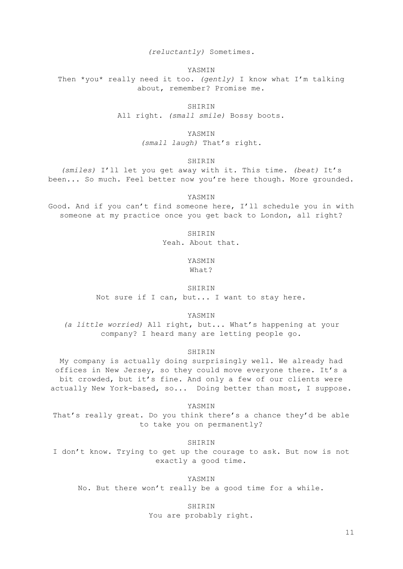*(reluctantly)* Sometimes.

YASMIN

Then \*you\* really need it too. *(gently)* I know what I'm talking about, remember? Promise me.

> SHIRIN All right. *(small smile)* Bossy boots.

> > YASMIN

*(small laugh)* That's right.

SHIRIN

*(smiles)* I'll let you get away with it. This time. *(beat)* It's been... So much. Feel better now you're here though. More grounded.

YASMIN

Good. And if you can't find someone here, I'll schedule you in with someone at my practice once you get back to London, all right?

SHIRIN

Yeah. About that.

YASMIN What?

SHIRIN

Not sure if I can, but... I want to stay here.

YASMIN

*(a little worried)* All right, but... What's happening at your company? I heard many are letting people go.

SHIRIN

My company is actually doing surprisingly well. We already had offices in New Jersey, so they could move everyone there. It's a bit crowded, but it's fine. And only a few of our clients were actually New York-based, so... Doing better than most, I suppose.

YASMIN

That's really great. Do you think there's a chance they'd be able to take you on permanently?

**SHIRIN** 

I don't know. Trying to get up the courage to ask. But now is not exactly a good time.

YASMIN No. But there won't really be a good time for a while.

> SHIRIN You are probably right.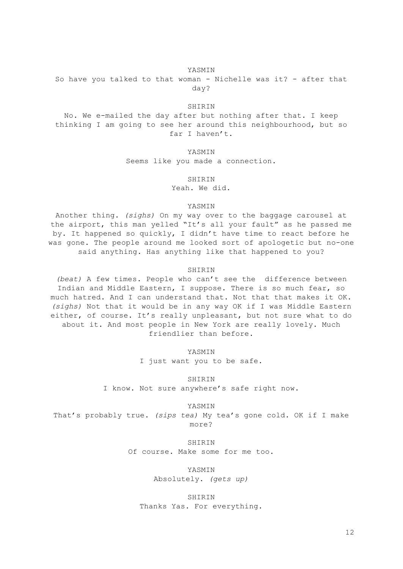## YASMIN

So have you talked to that woman - Nichelle was it? - after that day?

#### SHIRIN

No. We e-mailed the day after but nothing after that. I keep thinking I am going to see her around this neighbourhood, but so far I haven't.

YASMIN

Seems like you made a connection.

## SHIRIN

Yeah. We did.

# YASMIN

Another thing. *(sighs)* On my way over to the baggage carousel at the airport, this man yelled "It's all your fault" as he passed me by. It happened so quickly, I didn't have time to react before he was gone. The people around me looked sort of apologetic but no-one said anything. Has anything like that happened to you?

#### SHIRIN

*(beat)* A few times. People who can't see the difference between Indian and Middle Eastern, I suppose. There is so much fear, so much hatred. And I can understand that. Not that that makes it OK. *(sighs)* Not that it would be in any way OK if I was Middle Eastern either, of course. It's really unpleasant, but not sure what to do about it. And most people in New York are really lovely. Much friendlier than before.

YASMIN

I just want you to be safe.

SHIRIN I know. Not sure anywhere's safe right now.

YASMIN

That's probably true. *(sips tea)* My tea's gone cold. OK if I make more?

> **SHIRIN** Of course. Make some for me too.

> > YASMIN Absolutely. *(gets up)*

SHIRIN Thanks Yas. For everything.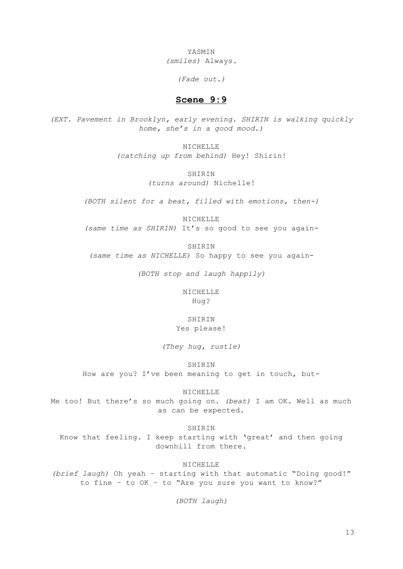YASMIN *(smiles)* Always.

*(Fade out.)*

# **Scene 9:9**

*(EXT. Pavement in Brooklyn, early evening. SHIRIN is walking quickly home, she's in a good mood.)*

> NICHELLE *(catching up from behind)* Hey! Shirin!

> > **SHIRIN** *(turns around)* Nichelle!

*(BOTH silent for a beat, filled with emotions, then-)*

NICHELLE *(same time as SHIRIN)* It's so good to see you again-

SHIRIN

*(same time as NICHELLE)* So happy to see you again-

*(BOTH stop and laugh happily)*

NICHELLE Hug?

**SHIRIN** Yes please!

*(They hug, rustle)*

SHIRIN

How are you? I've been meaning to get in touch, but-

NICHELLE

Me too! But there's so much going on. *(beat)* I am OK. Well as much as can be expected.

SHIRIN

Know that feeling. I keep starting with 'great' and then going downhill from there.

NICHELLE

*(brief laugh)* Oh yeah – starting with that automatic "Doing good!" to fine – to OK – to "Are you sure you want to know?"

*(BOTH laugh)*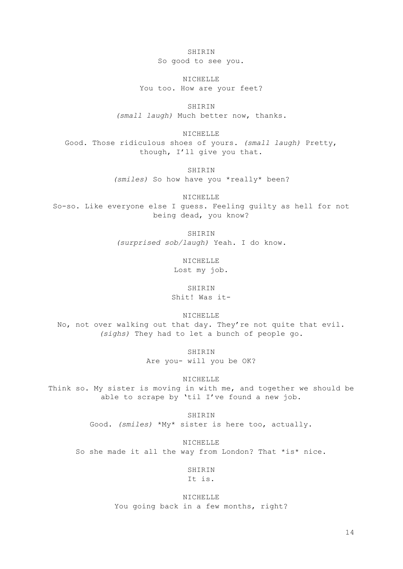SHIRIN So good to see you.

NICHELLE You too. How are your feet?

SHIRIN *(small laugh)* Much better now, thanks.

NICHELLE Good. Those ridiculous shoes of yours. *(small laugh)* Pretty, though, I'll give you that.

SHIRIN

*(smiles)* So how have you \*really\* been?

NICHELLE

So-so. Like everyone else I guess. Feeling guilty as hell for not being dead, you know?

SHIRIN

*(surprised sob/laugh)* Yeah. I do know.

**NICHELLE** Lost my job.

SHIRIN Shit! Was it-

NICHELLE

No, not over walking out that day. They're not quite that evil. *(sighs)* They had to let a bunch of people go.

> SHIRIN Are you- will you be OK?

> > NICHELLE

Think so. My sister is moving in with me, and together we should be able to scrape by 'til I've found a new job.

> SHIRIN Good. *(smiles)* \*My\* sister is here too, actually.

NICHELLE So she made it all the way from London? That \*is\* nice.

> SHIRIN It is.

NICHELLE You going back in a few months, right?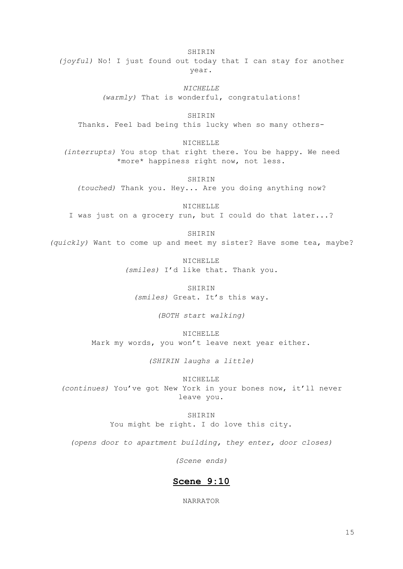SHIRIN *(joyful)* No! I just found out today that I can stay for another year.

> *NICHELLE (warmly)* That is wonderful, congratulations!

SHIRIN Thanks. Feel bad being this lucky when so many others-

NICHELLE

*(interrupts)* You stop that right there. You be happy. We need \*more\* happiness right now, not less.

SHIRIN

*(touched)* Thank you. Hey... Are you doing anything now?

NICHELLE I was just on a grocery run, but I could do that later...?

SHIRIN

*(quickly)* Want to come up and meet my sister? Have some tea, maybe?

**NICHELLE** *(smiles)* I'd like that. Thank you.

SHIRIN *(smiles)* Great. It's this way.

*(BOTH start walking)*

NICHELLE Mark my words, you won't leave next year either.

*(SHIRIN laughs a little)*

NICHELLE *(continues)* You've got New York in your bones now, it'll never leave you.

> SHIRIN You might be right. I do love this city.

*(opens door to apartment building, they enter, door closes)*

*(Scene ends)*

# **Scene 9:10**

NARRATOR